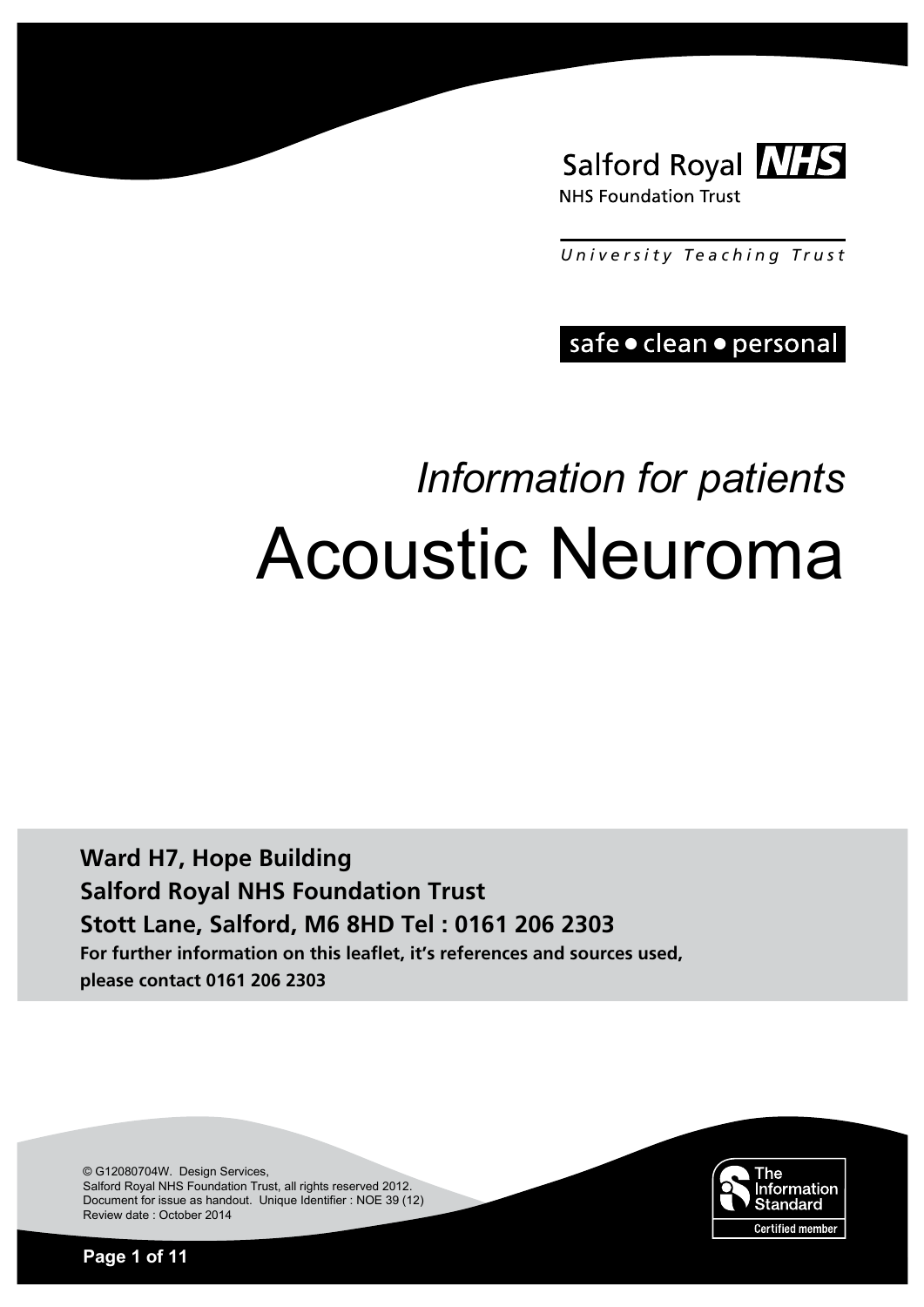

*University T e aching T rust*

safe · clean · personal

# *Information for patients*  Acoustic Neuroma

**Ward H7, Hope Building Salford Royal NHS Foundation Trust Stott Lane, Salford, M6 8HD Tel : 0161 206 2303 For further information on this leaflet, it's references and sources used, please contact 0161 206 2303**

> The Information Standard **Certified member**

© G12080704W. Design Services, Salford Royal NHS Foundation Trust, all rights reserved 2012. Document for issue as handout. Unique Identifier : NOE 39 (12) Review date : October 2014

**Page 1 of 11**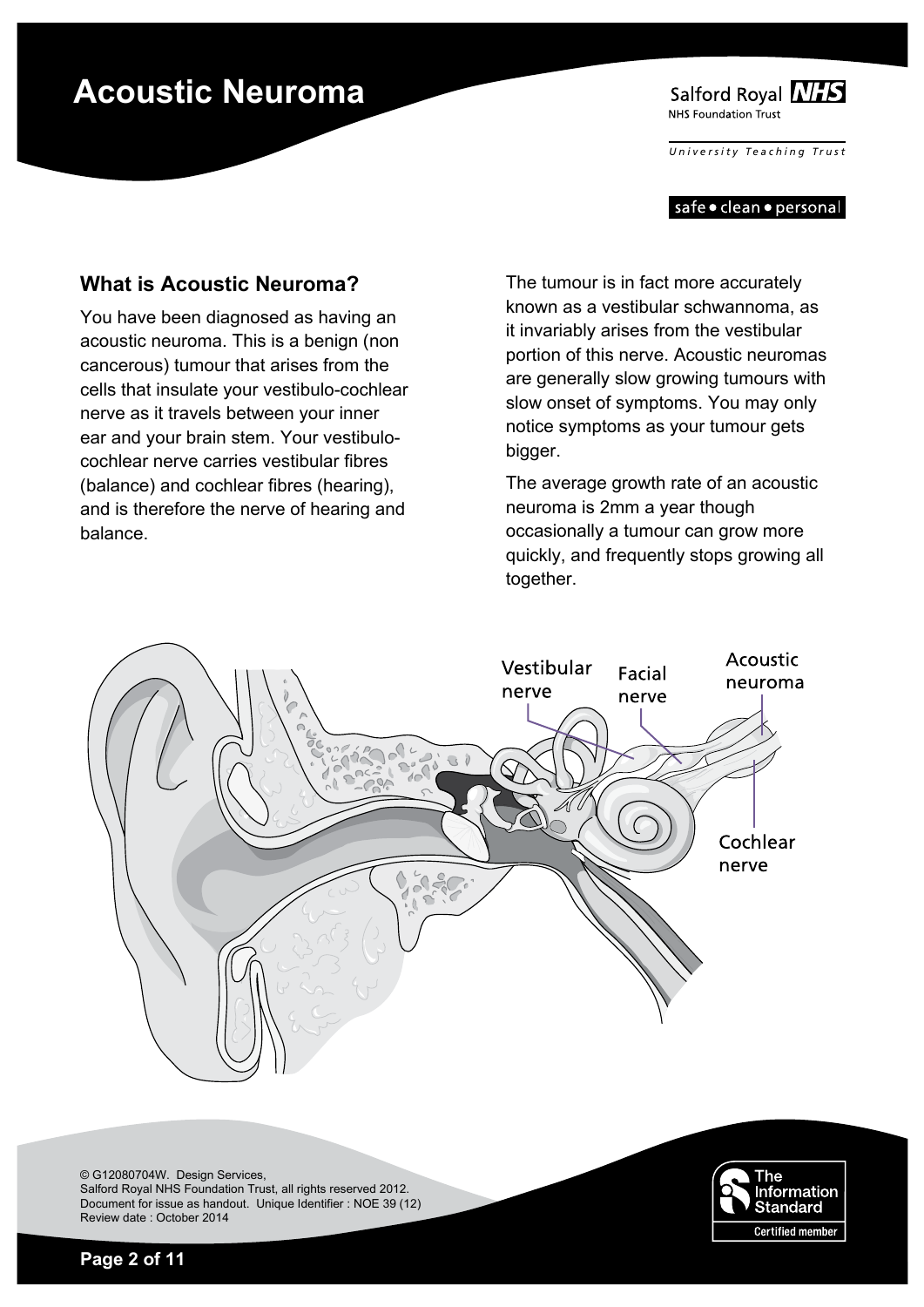Salford Royal NHS NHS Foundation Trust

*University T e aching T rust*

safe • clean • personal

### **What is Acoustic Neuroma?**

You have been diagnosed as having an acoustic neuroma. This is a benign (non cancerous) tumour that arises from the cells that insulate your vestibulo-cochlear nerve as it travels between your inner ear and your brain stem. Your vestibulocochlear nerve carries vestibular fibres (balance) and cochlear fibres (hearing), and is therefore the nerve of hearing and balance.

The tumour is in fact more accurately known as a vestibular schwannoma, as it invariably arises from the vestibular portion of this nerve. Acoustic neuromas are generally slow growing tumours with slow onset of symptoms. You may only notice symptoms as your tumour gets bigger.

The average growth rate of an acoustic neuroma is 2mm a year though occasionally a tumour can grow more quickly, and frequently stops growing all together.



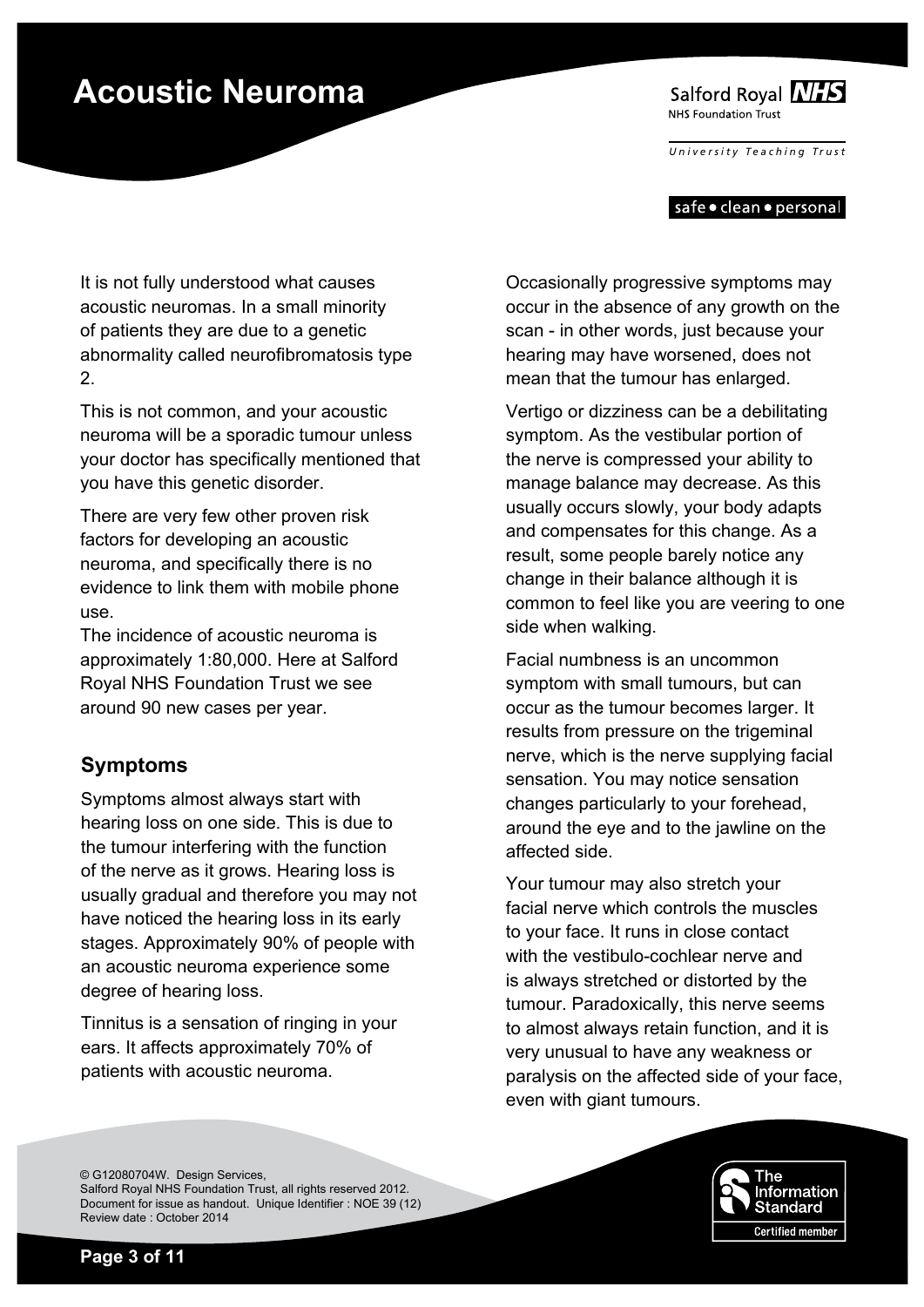Salford Royal NHS NHS Foundation Trust

*University T e aching T rust*

#### safe • clean • personal

It is not fully understood what causes acoustic neuromas. In a small minority of patients they are due to a genetic abnormality called neurofibromatosis type 2.

This is not common, and your acoustic neuroma will be a sporadic tumour unless your doctor has specifically mentioned that you have this genetic disorder.

There are very few other proven risk factors for developing an acoustic neuroma, and specifically there is no evidence to link them with mobile phone use.

The incidence of acoustic neuroma is approximately 1:80,000. Here at Salford Royal NHS Foundation Trust we see around 90 new cases per year.

### **Symptoms**

Symptoms almost always start with hearing loss on one side. This is due to the tumour interfering with the function of the nerve as it grows. Hearing loss is usually gradual and therefore you may not have noticed the hearing loss in its early stages. Approximately 90% of people with an acoustic neuroma experience some degree of hearing loss.

Tinnitus is a sensation of ringing in your ears. It affects approximately 70% of patients with acoustic neuroma.

Occasionally progressive symptoms may occur in the absence of any growth on the scan - in other words, just because your hearing may have worsened, does not mean that the tumour has enlarged.

Vertigo or dizziness can be a debilitating symptom. As the vestibular portion of the nerve is compressed your ability to manage balance may decrease. As this usually occurs slowly, your body adapts and compensates for this change. As a result, some people barely notice any change in their balance although it is common to feel like you are veering to one side when walking.

Facial numbness is an uncommon symptom with small tumours, but can occur as the tumour becomes larger. It results from pressure on the trigeminal nerve, which is the nerve supplying facial sensation. You may notice sensation changes particularly to your forehead, around the eye and to the jawline on the affected side.

Your tumour may also stretch your facial nerve which controls the muscles to your face. It runs in close contact with the vestibulo-cochlear nerve and is always stretched or distorted by the tumour. Paradoxically, this nerve seems to almost always retain function, and it is very unusual to have any weakness or paralysis on the affected side of your face, even with giant tumours.

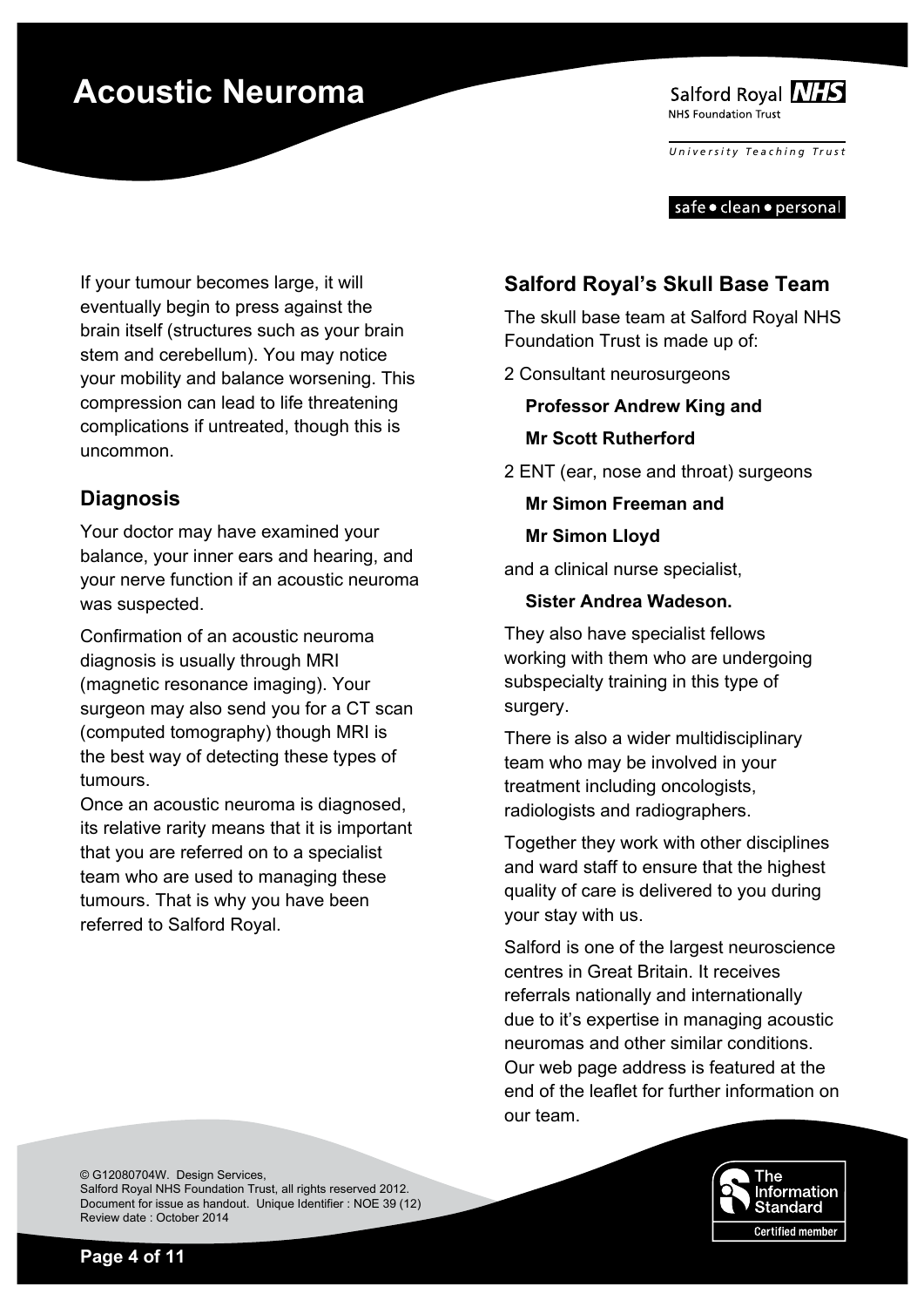

*University T e aching T rust*

safe • clean • personal

If your tumour becomes large, it will eventually begin to press against the brain itself (structures such as your brain stem and cerebellum). You may notice your mobility and balance worsening. This compression can lead to life threatening complications if untreated, though this is uncommon.

### **Diagnosis**

Your doctor may have examined your balance, your inner ears and hearing, and your nerve function if an acoustic neuroma was suspected.

Confirmation of an acoustic neuroma diagnosis is usually through MRI (magnetic resonance imaging). Your surgeon may also send you for a CT scan (computed tomography) though MRI is the best way of detecting these types of tumours.

Once an acoustic neuroma is diagnosed, its relative rarity means that it is important that you are referred on to a specialist team who are used to managing these tumours. That is why you have been referred to Salford Royal.

### **Salford Royal's Skull Base Team**

The skull base team at Salford Royal NHS Foundation Trust is made up of:

2 Consultant neurosurgeons

**Professor Andrew King and Mr Scott Rutherford** 

2 ENT (ear, nose and throat) surgeons

**Mr Simon Freeman and** 

#### **Mr Simon Lloyd**

and a clinical nurse specialist,

#### **Sister Andrea Wadeson.**

They also have specialist fellows working with them who are undergoing subspecialty training in this type of surgery.

There is also a wider multidisciplinary team who may be involved in your treatment including oncologists, radiologists and radiographers.

Together they work with other disciplines and ward staff to ensure that the highest quality of care is delivered to you during your stay with us.

Salford is one of the largest neuroscience centres in Great Britain. It receives referrals nationally and internationally due to it's expertise in managing acoustic neuromas and other similar conditions. Our web page address is featured at the end of the leaflet for further information on our team.

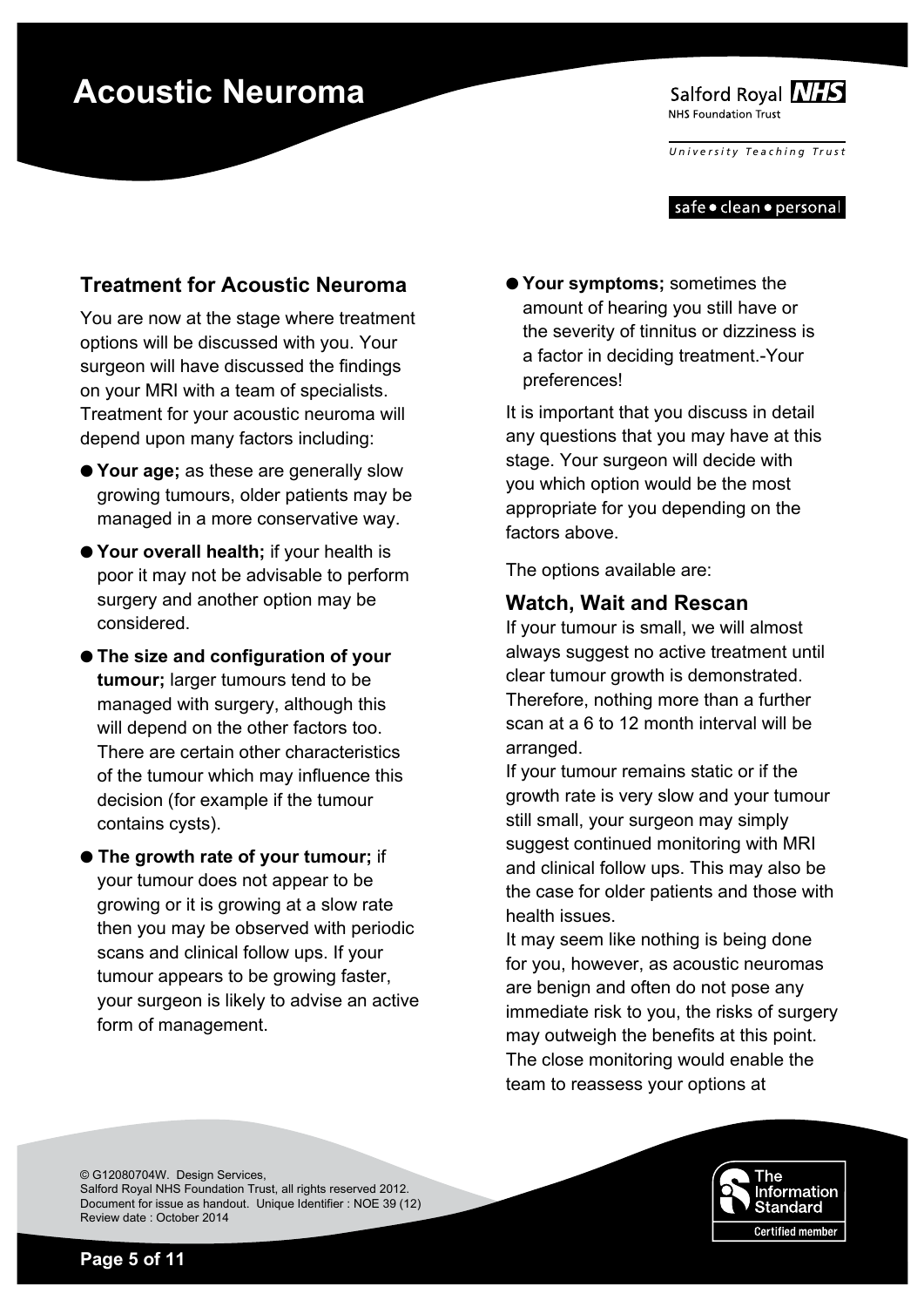

*University T e aching T rust*

#### safe • clean • personal

### **Treatment for Acoustic Neuroma**

You are now at the stage where treatment options will be discussed with you. Your surgeon will have discussed the findings on your MRI with a team of specialists. Treatment for your acoustic neuroma will depend upon many factors including:

- O **Your age;** as these are generally slow growing tumours, older patients may be managed in a more conservative way.
- O **Your overall health;** if your health is poor it may not be advisable to perform surgery and another option may be considered.
- O **The size and configuration of your tumour;** larger tumours tend to be managed with surgery, although this will depend on the other factors too. There are certain other characteristics of the tumour which may influence this decision (for example if the tumour contains cysts).
- O **The growth rate of your tumour;** if your tumour does not appear to be growing or it is growing at a slow rate then you may be observed with periodic scans and clinical follow ups. If your tumour appears to be growing faster, your surgeon is likely to advise an active form of management.

O**Your symptoms;** sometimes the amount of hearing you still have or the severity of tinnitus or dizziness is a factor in deciding treatment.-Your preferences!

It is important that you discuss in detail any questions that you may have at this stage. Your surgeon will decide with you which option would be the most appropriate for you depending on the factors above.

The options available are:

### **Watch, Wait and Rescan**

If your tumour is small, we will almost always suggest no active treatment until clear tumour growth is demonstrated. Therefore, nothing more than a further scan at a 6 to 12 month interval will be arranged.

If your tumour remains static or if the growth rate is very slow and your tumour still small, your surgeon may simply suggest continued monitoring with MRI and clinical follow ups. This may also be the case for older patients and those with health issues.

It may seem like nothing is being done for you, however, as acoustic neuromas are benign and often do not pose any immediate risk to you, the risks of surgery may outweigh the benefits at this point. The close monitoring would enable the team to reassess your options at

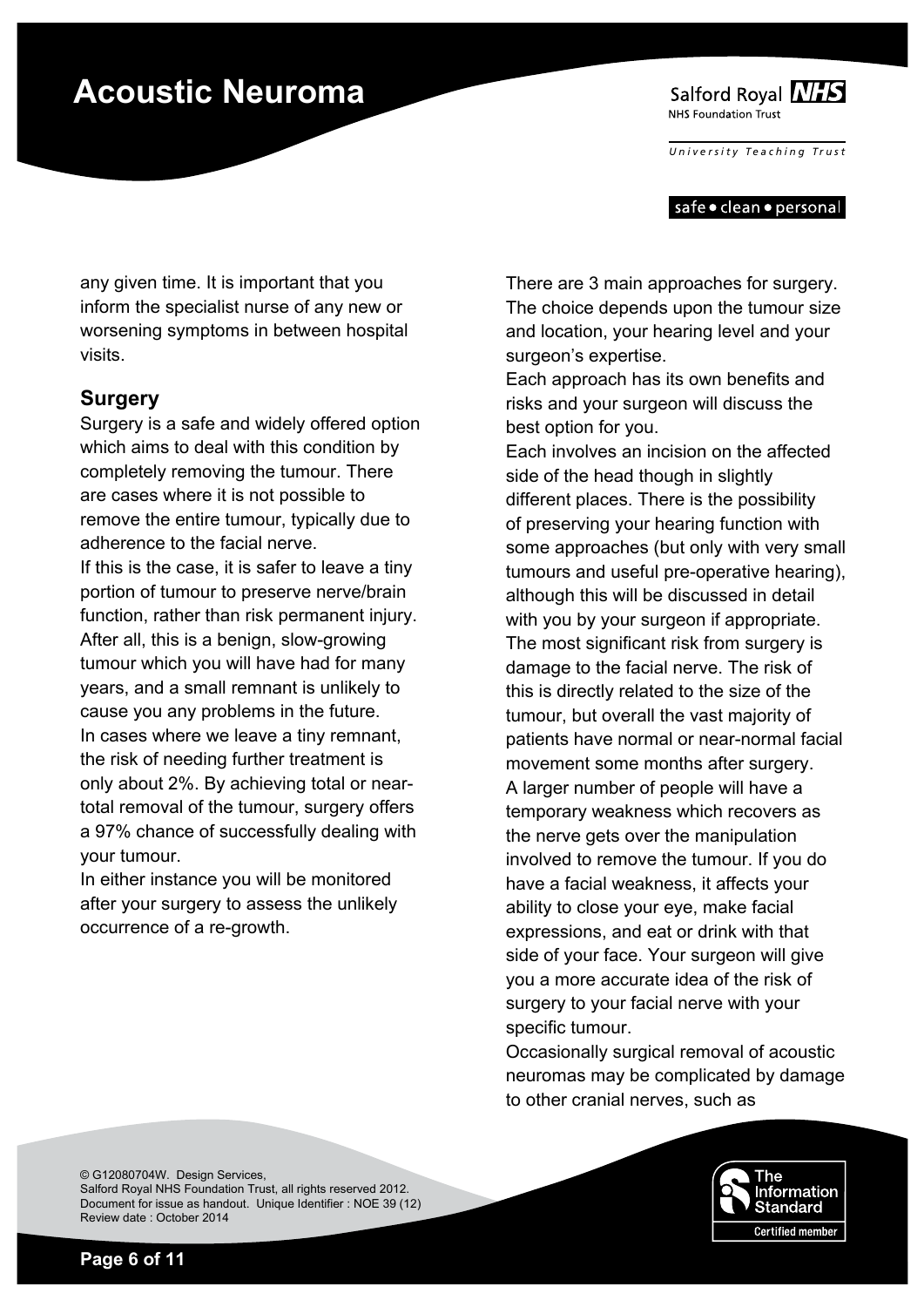Salford Royal NHS NHS Foundation Trust

*University T e aching T rust*

#### safe • clean • personal

any given time. It is important that you inform the specialist nurse of any new or worsening symptoms in between hospital visits.

### **Surgery**

Surgery is a safe and widely offered option which aims to deal with this condition by completely removing the tumour. There are cases where it is not possible to remove the entire tumour, typically due to adherence to the facial nerve.

If this is the case, it is safer to leave a tiny portion of tumour to preserve nerve/brain function, rather than risk permanent injury. After all, this is a benign, slow-growing tumour which you will have had for many years, and a small remnant is unlikely to cause you any problems in the future. In cases where we leave a tiny remnant, the risk of needing further treatment is only about 2%. By achieving total or neartotal removal of the tumour, surgery offers a 97% chance of successfully dealing with your tumour.

In either instance you will be monitored after your surgery to assess the unlikely occurrence of a re-growth.

There are 3 main approaches for surgery. The choice depends upon the tumour size and location, your hearing level and your surgeon's expertise.

Each approach has its own benefits and risks and your surgeon will discuss the best option for you.

Each involves an incision on the affected side of the head though in slightly different places. There is the possibility of preserving your hearing function with some approaches (but only with very small tumours and useful pre-operative hearing), although this will be discussed in detail with you by your surgeon if appropriate. The most significant risk from surgery is damage to the facial nerve. The risk of this is directly related to the size of the tumour, but overall the vast majority of patients have normal or near-normal facial movement some months after surgery. A larger number of people will have a temporary weakness which recovers as the nerve gets over the manipulation involved to remove the tumour. If you do have a facial weakness, it affects your ability to close your eye, make facial expressions, and eat or drink with that side of your face. Your surgeon will give you a more accurate idea of the risk of surgery to your facial nerve with your specific tumour.

Occasionally surgical removal of acoustic neuromas may be complicated by damage to other cranial nerves, such as

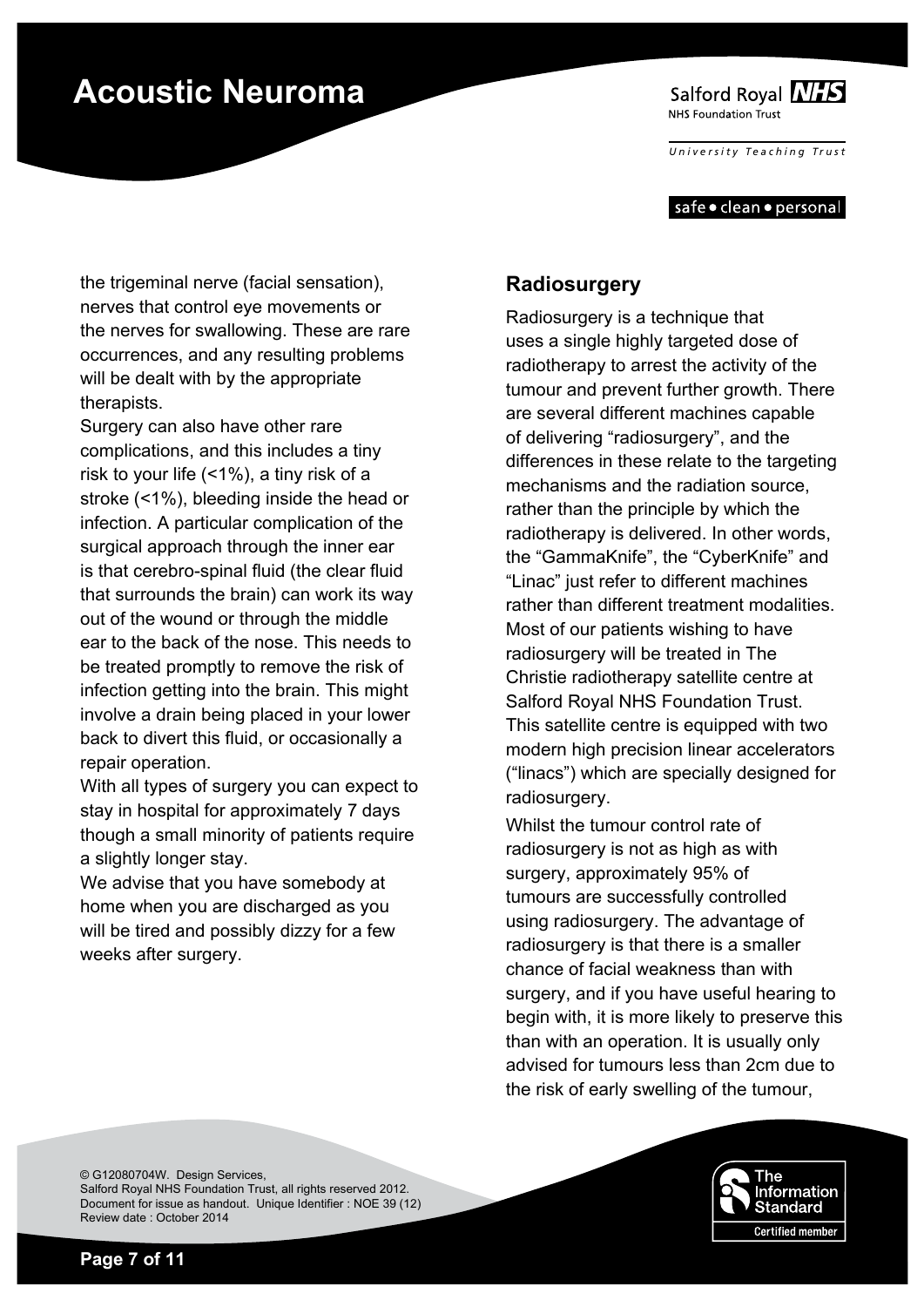Salford Royal NHS NHS Foundation Trust

*University T e aching T rust*

#### safe • clean • personal

the trigeminal nerve (facial sensation), nerves that control eye movements or the nerves for swallowing. These are rare occurrences, and any resulting problems will be dealt with by the appropriate therapists.

Surgery can also have other rare complications, and this includes a tiny risk to your life (<1%), a tiny risk of a stroke (<1%), bleeding inside the head or infection. A particular complication of the surgical approach through the inner ear is that cerebro-spinal fluid (the clear fluid that surrounds the brain) can work its way out of the wound or through the middle ear to the back of the nose. This needs to be treated promptly to remove the risk of infection getting into the brain. This might involve a drain being placed in your lower back to divert this fluid, or occasionally a repair operation.

With all types of surgery you can expect to stay in hospital for approximately 7 days though a small minority of patients require a slightly longer stay.

We advise that you have somebody at home when you are discharged as you will be tired and possibly dizzy for a few weeks after surgery.

### **Radiosurgery**

Radiosurgery is a technique that uses a single highly targeted dose of radiotherapy to arrest the activity of the tumour and prevent further growth. There are several different machines capable of delivering "radiosurgery", and the differences in these relate to the targeting mechanisms and the radiation source, rather than the principle by which the radiotherapy is delivered. In other words, the "GammaKnife", the "CyberKnife" and "Linac" just refer to different machines rather than different treatment modalities. Most of our patients wishing to have radiosurgery will be treated in The Christie radiotherapy satellite centre at Salford Royal NHS Foundation Trust. This satellite centre is equipped with two modern high precision linear accelerators ("linacs") which are specially designed for radiosurgery.

Whilst the tumour control rate of radiosurgery is not as high as with surgery, approximately 95% of tumours are successfully controlled using radiosurgery. The advantage of radiosurgery is that there is a smaller chance of facial weakness than with surgery, and if you have useful hearing to begin with, it is more likely to preserve this than with an operation. It is usually only advised for tumours less than 2cm due to the risk of early swelling of the tumour,

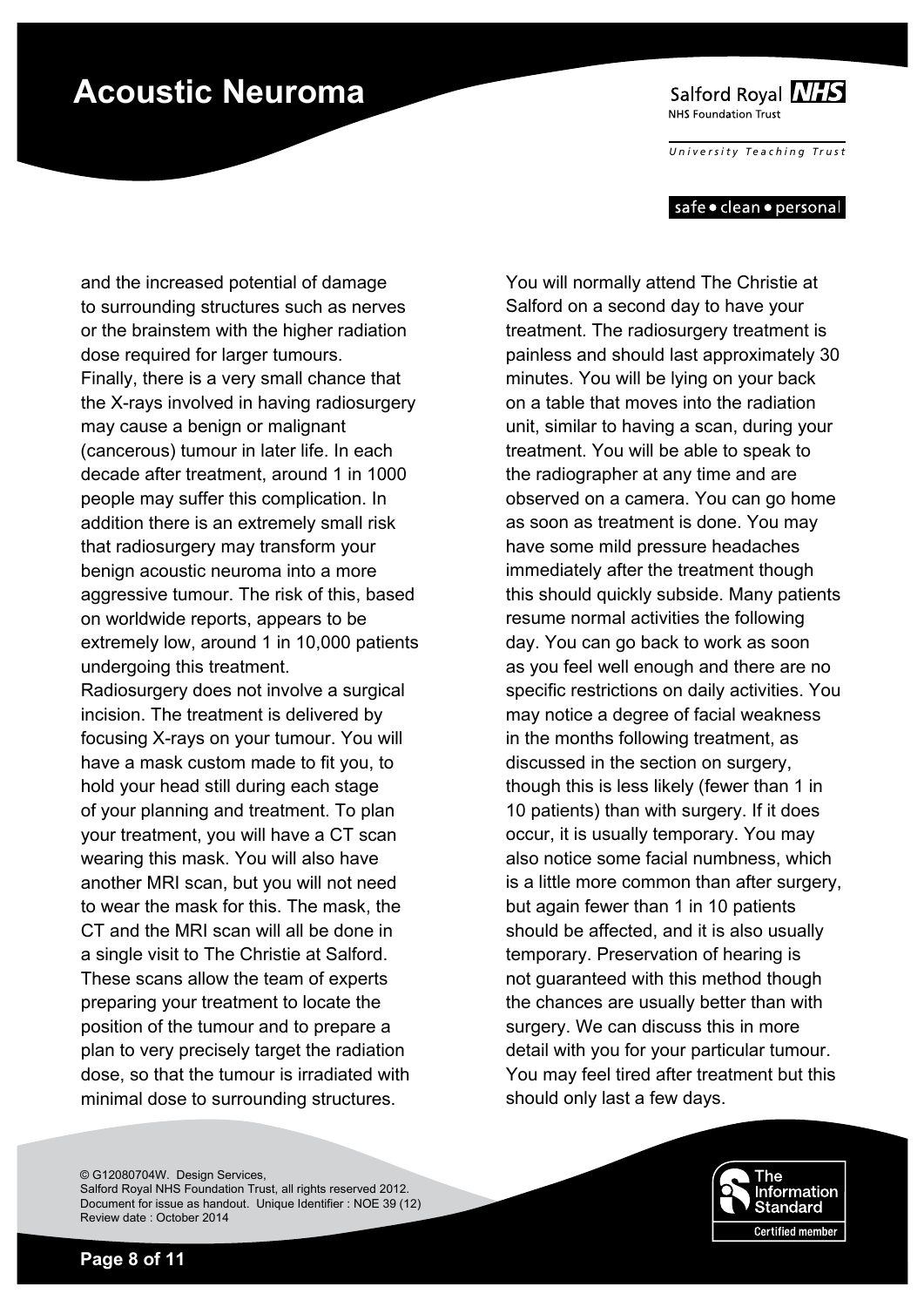Salford Royal NHS NHS Foundation Trust

*University T e aching T rust*

#### safe • clean • personal

and the increased potential of damage to surrounding structures such as nerves or the brainstem with the higher radiation dose required for larger tumours. Finally, there is a very small chance that the X-rays involved in having radiosurgery may cause a benign or malignant (cancerous) tumour in later life. In each decade after treatment, around 1 in 1000 people may suffer this complication. In addition there is an extremely small risk that radiosurgery may transform your benign acoustic neuroma into a more aggressive tumour. The risk of this, based on worldwide reports, appears to be extremely low, around 1 in 10,000 patients undergoing this treatment. Radiosurgery does not involve a surgical incision. The treatment is delivered by focusing X-rays on your tumour. You will have a mask custom made to fit you, to

hold your head still during each stage of your planning and treatment. To plan your treatment, you will have a CT scan wearing this mask. You will also have another MRI scan, but you will not need to wear the mask for this. The mask, the CT and the MRI scan will all be done in a single visit to The Christie at Salford. These scans allow the team of experts preparing your treatment to locate the position of the tumour and to prepare a plan to very precisely target the radiation dose, so that the tumour is irradiated with minimal dose to surrounding structures.

You will normally attend The Christie at Salford on a second day to have your treatment. The radiosurgery treatment is painless and should last approximately 30 minutes. You will be lying on your back on a table that moves into the radiation unit, similar to having a scan, during your treatment. You will be able to speak to the radiographer at any time and are observed on a camera. You can go home as soon as treatment is done. You may have some mild pressure headaches immediately after the treatment though this should quickly subside. Many patients resume normal activities the following day. You can go back to work as soon as you feel well enough and there are no specific restrictions on daily activities. You may notice a degree of facial weakness in the months following treatment, as discussed in the section on surgery, though this is less likely (fewer than 1 in 10 patients) than with surgery. If it does occur, it is usually temporary. You may also notice some facial numbness, which is a little more common than after surgery, but again fewer than 1 in 10 patients should be affected, and it is also usually temporary. Preservation of hearing is not guaranteed with this method though the chances are usually better than with surgery. We can discuss this in more detail with you for your particular tumour. You may feel tired after treatment but this should only last a few days.

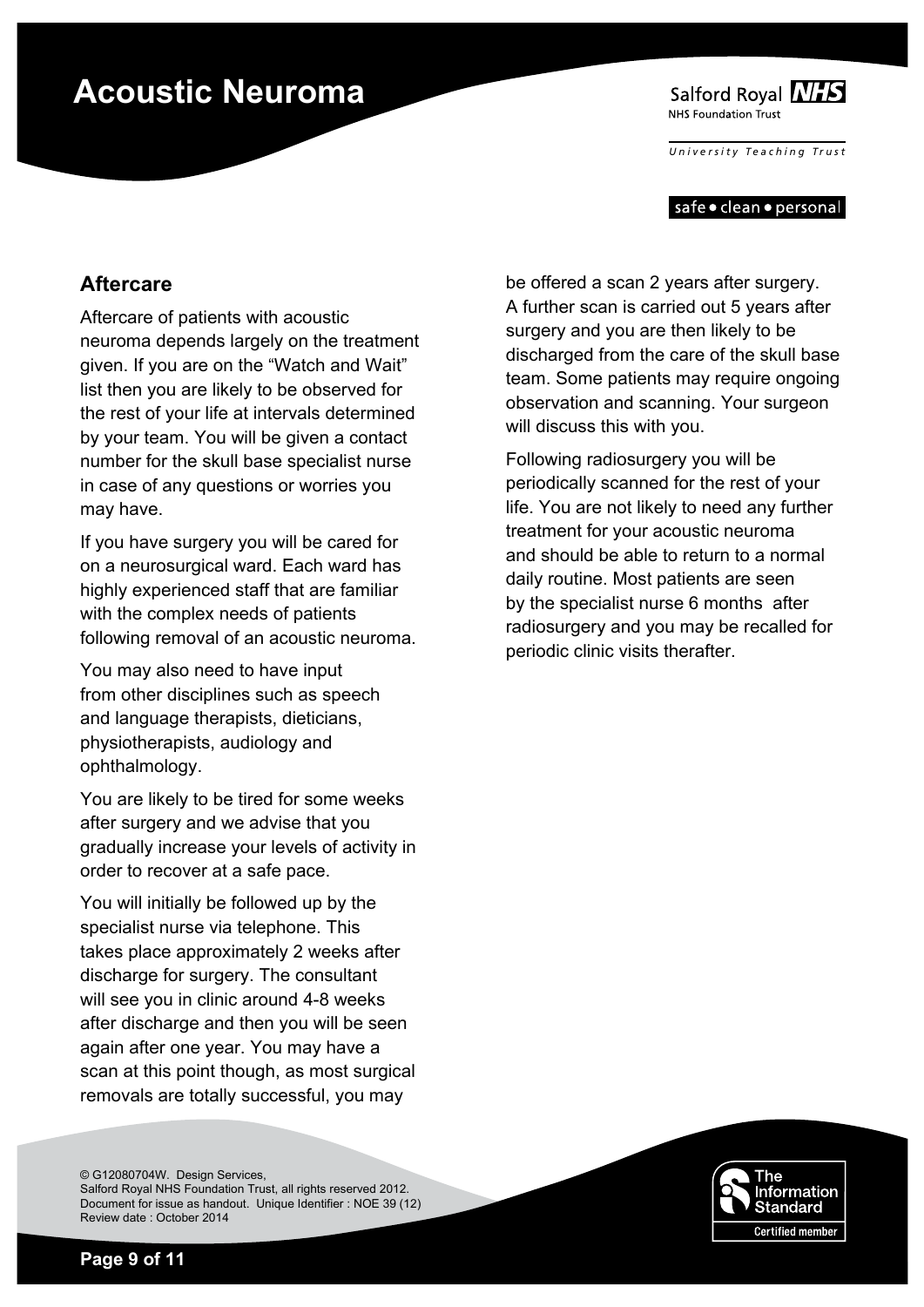Salford Royal NHS NHS Foundation Trust

*University T e aching T rust*

#### safe • clean • personal

#### **Aftercare**

Aftercare of patients with acoustic neuroma depends largely on the treatment given. If you are on the "Watch and Wait" list then you are likely to be observed for the rest of your life at intervals determined by your team. You will be given a contact number for the skull base specialist nurse in case of any questions or worries you may have.

If you have surgery you will be cared for on a neurosurgical ward. Each ward has highly experienced staff that are familiar with the complex needs of patients following removal of an acoustic neuroma.

You may also need to have input from other disciplines such as speech and language therapists, dieticians, physiotherapists, audiology and ophthalmology.

You are likely to be tired for some weeks after surgery and we advise that you gradually increase your levels of activity in order to recover at a safe pace.

You will initially be followed up by the specialist nurse via telephone. This takes place approximately 2 weeks after discharge for surgery. The consultant will see you in clinic around 4-8 weeks after discharge and then you will be seen again after one year. You may have a scan at this point though, as most surgical removals are totally successful, you may

© G12080704W. Design Services, Salford Royal NHS Foundation Trust, all rights reserved 2012. Document for issue as handout. Unique Identifier : NOE 39 (12) Review date : October 2014

be offered a scan 2 years after surgery. A further scan is carried out 5 years after surgery and you are then likely to be discharged from the care of the skull base team. Some patients may require ongoing observation and scanning. Your surgeon will discuss this with you.

Following radiosurgery you will be periodically scanned for the rest of your life. You are not likely to need any further treatment for your acoustic neuroma and should be able to return to a normal daily routine. Most patients are seen by the specialist nurse 6 months after radiosurgery and you may be recalled for periodic clinic visits therafter.

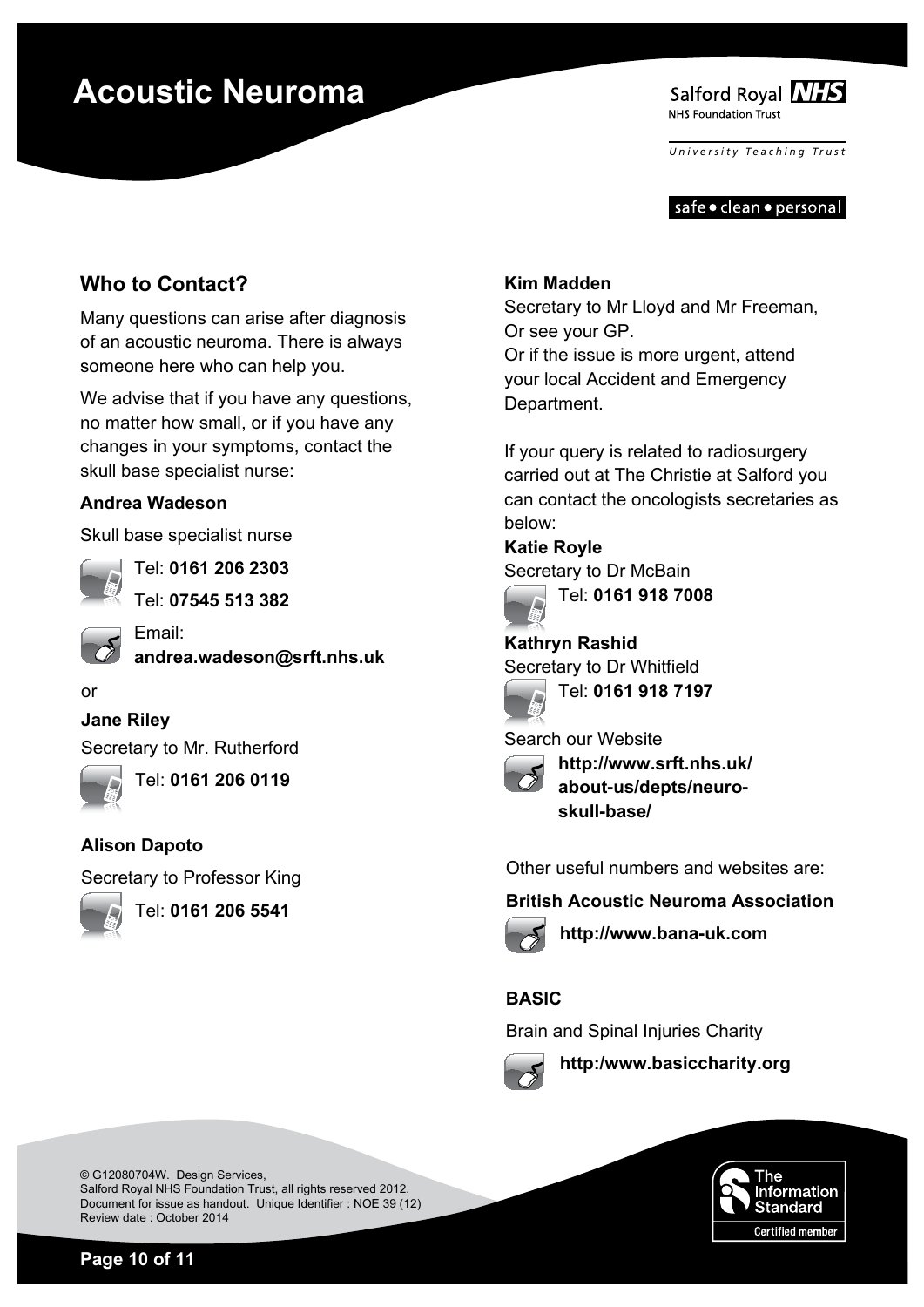

*University T e aching T rust*

safe • clean • personal

### **Who to Contact?**

Many questions can arise after diagnosis of an acoustic neuroma. There is always someone here who can help you.

We advise that if you have any questions, no matter how small, or if you have any changes in your symptoms, contact the skull base specialist nurse:

### **Andrea Wadeson**

Skull base specialist nurse



Tel: **0161 206 2303**

Tel: **07545 513 382**



Email: **andrea.wadeson@srft.nhs.uk**

#### or

#### **Jane Riley**

Secretary to Mr. Rutherford



Tel: **0161 206 0119**

#### **Alison Dapoto**

Secretary to Professor King



Tel: **0161 206 5541**

#### **Kim Madden**

Secretary to Mr Lloyd and Mr Freeman, Or see your GP. Or if the issue is more urgent, attend your local Accident and Emergency Department.

If your query is related to radiosurgery carried out at The Christie at Salford you can contact the oncologists secretaries as below:

**Katie Royle** Secretary to Dr McBain



Tel: **0161 918 7008**

**Kathryn Rashid** Secretary to Dr Whitfield



Search our Website



**http://www.srft.nhs.uk/ about-us/depts/neuroskull-base/**

Other useful numbers and websites are:

#### **British Acoustic Neuroma Association**



**http://www.bana-uk.com**

### **BASIC**

Brain and Spinal Injuries Charity



**http:/www.basiccharity.org**



© G12080704W. Design Services, Salford Royal NHS Foundation Trust, all rights reserved 2012. Document for issue as handout. Unique Identifier : NOE 39 (12) Review date : October 2014

**Page 10 of 11**